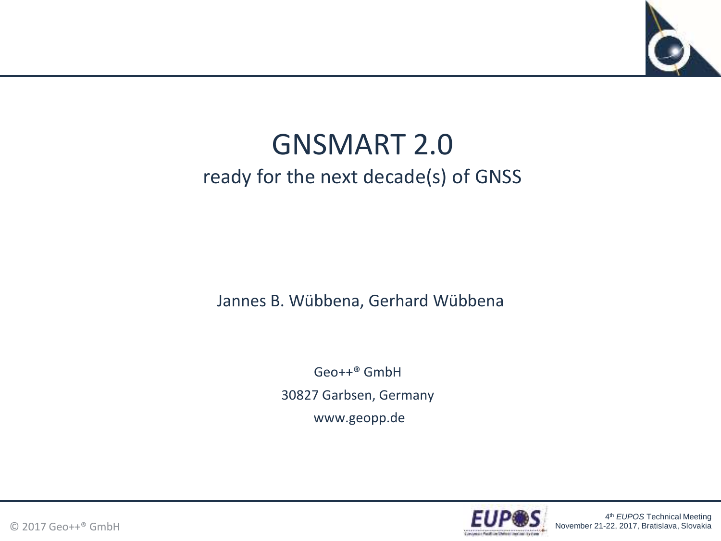

### GNSMART 2.0 ready for the next decade(s) of GNSS

Jannes B. Wübbena, Gerhard Wübbena

Geo++® GmbH 30827 Garbsen, Germany www.geopp.de

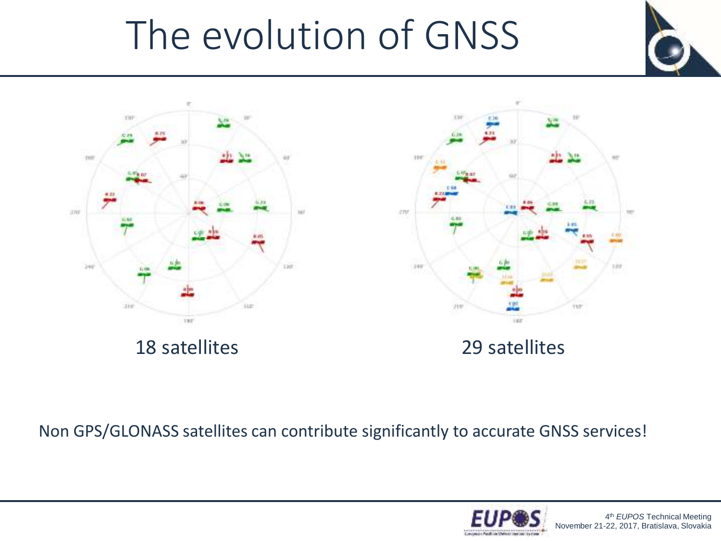## The evolution of GNSS





any  $147$ 

Non GPS/GLONASS satellites can contribute significantly to accurate GNSS services!

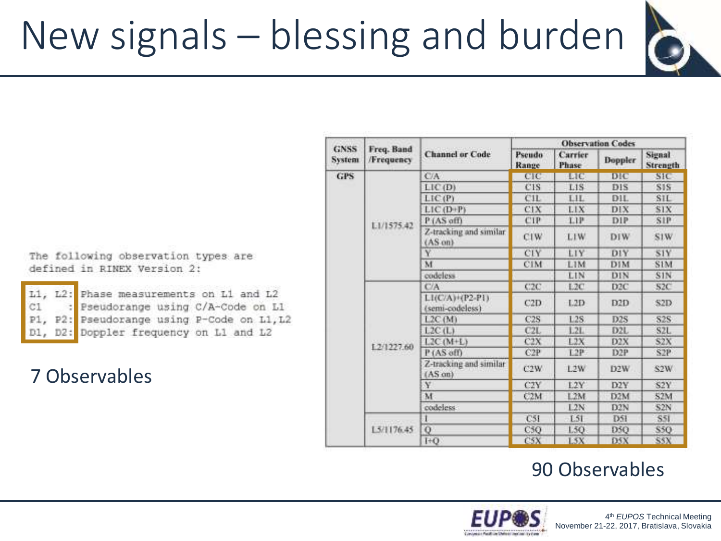## New signals – blessing and burden



The following observation types are defined in RINEX Version 2:

|  | L1, L2: Phase measurements on L1 and L2    |
|--|--------------------------------------------|
|  | C1 : Pseudorange using C/A-Code on L1      |
|  | P1, P2: Pseudorange using P-Code on L1, L2 |
|  | D1, D2: Doppler frequency on L1 and L2     |

#### 7 Observables

| GNSS<br><i>ivstem</i> | Freq. Band<br>/Frequency | <b>Channel or Code</b>                      | <b>Observation Codes</b> |                  |                  |                           |
|-----------------------|--------------------------|---------------------------------------------|--------------------------|------------------|------------------|---------------------------|
|                       |                          |                                             | Pseudo<br>Range          | Carrier<br>Phase | Doppler          | Signal<br><b>Strength</b> |
| <b>GPS</b>            | L1/1575.42               | C/A                                         | CIC                      | LIC              | DIC              | <b>SIC</b>                |
|                       |                          | LIC (D)                                     | C <sub>1</sub> S         | L1S              | DIS              | S <sub>1</sub> S          |
|                       |                          | LIC(P)                                      | CIL                      | LIL              | DIL              | <b>SIL</b>                |
|                       |                          | LIC (D+P)                                   | CIX                      | LIX              | DIX              | SIX.                      |
|                       |                          | P (AS off)                                  | CIP                      | LIP.             | DIP              | <b>SIP</b>                |
|                       |                          | Z-tracking and similar<br>$(AS \cdot on)$   | CIW                      | LIW.             | DIW              | S1W                       |
|                       |                          | ٧                                           | CIY                      | LIY              | DIY              | S1Y                       |
|                       |                          | M                                           | <b>CIM</b>               | LIM              | DIM              | <b>SIM</b>                |
|                       |                          | codeless                                    |                          | LIN              | DIN              | SIN                       |
|                       | 1.2/1227.60              | CA                                          | C2C                      | 1.2C             | D <sub>2C</sub>  | S <sub>2C</sub>           |
|                       |                          | $LI(C/A)+(P2-P1)$<br>(semi-codeless)        | C2D                      | 1.2D             | D <sub>2</sub> D | S2D.                      |
|                       |                          | L2C(M)                                      | C2S                      | L2S              | D2S              | <b>S2S</b>                |
|                       |                          | L2C(L)                                      | C2L                      | L2L              | D <sub>2</sub> L | S2L                       |
|                       |                          | $L2C(M+L)$                                  | C2X                      | L2X              | D2X              | S2X                       |
|                       |                          | P (AS off)                                  | C2P                      | L2P              | D <sub>2P</sub>  | S2P                       |
|                       |                          | Z-tracking and similar<br>$(AS \text{ on})$ | C2W                      | L2W              | D2W              | S2W                       |
|                       |                          | Y.                                          | C <sub>2</sub> Y         | 1.2Y             | D2Y              | S2Y                       |
|                       |                          | M                                           | C2M                      | L2M              | D2M              | 52M                       |
|                       |                          | codeless.                                   |                          | 1.2N             | D2N              | S2N                       |
|                       | 1.5/1176.45              | 1                                           | C51                      | L51              | D51              | <b>S51</b>                |
|                       |                          | Q                                           | C5O                      | 1.50             | D5O              | <b>S50</b>                |
|                       |                          | $H$ <sup>+0</sup>                           | C5X                      | 15X              | DSX              | <b>SSX</b>                |

#### 90 Observables

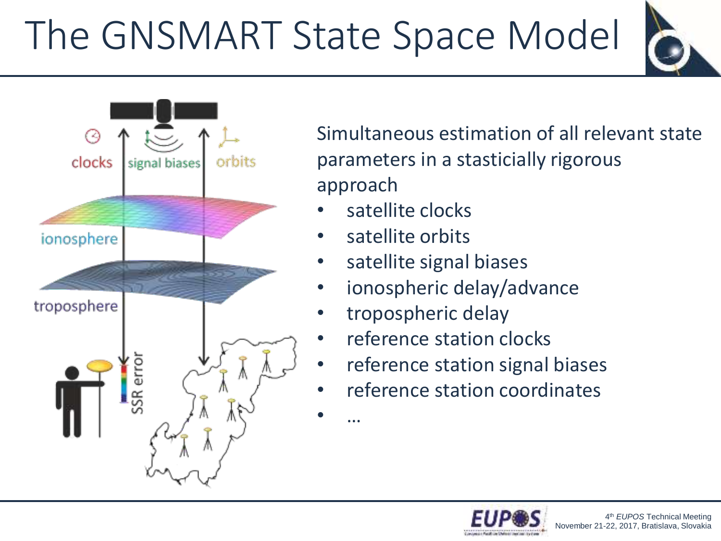# The GNSMART State Space Model





Simultaneous estimation of all relevant state parameters in a stasticially rigorous approach

- satellite clocks
- satellite orbits

• …

- satellite signal biases
- ionospheric delay/advance
- tropospheric delay
- reference station clocks
- reference station signal biases
- reference station coordinates

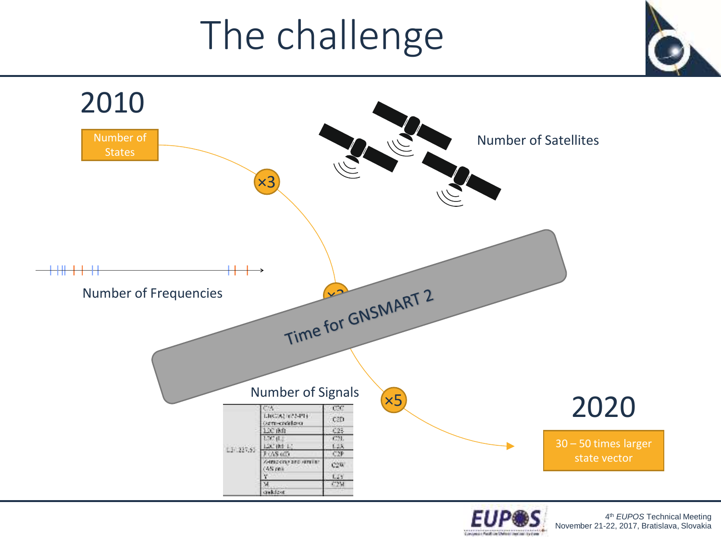## The challenge



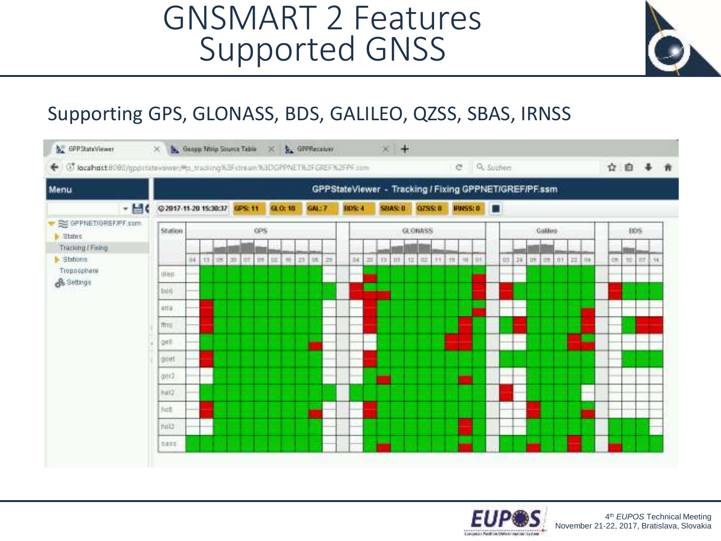### GNSMART 2 Features Supported GNSS



#### Supporting GPS, GLONASS, BDS, GALILEO, QZSS, SBAS, IRNSS



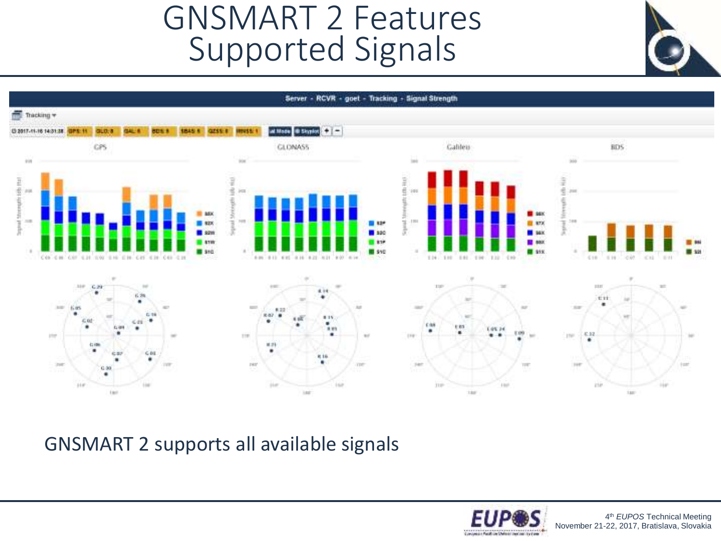GNSMART 2 Features Supported Signals





GNSMART 2 supports all available signals

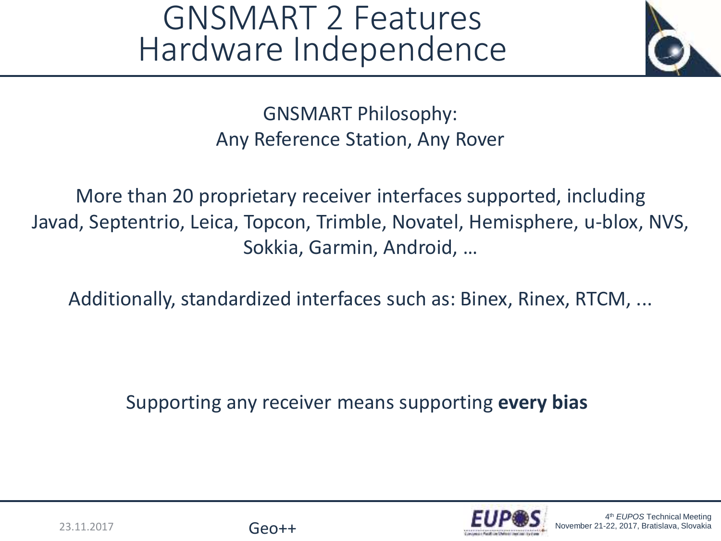### GNSMART 2 Features Hardware Independence



GNSMART Philosophy: Any Reference Station, Any Rover

More than 20 proprietary receiver interfaces supported, including Javad, Septentrio, Leica, Topcon, Trimble, Novatel, Hemisphere, u-blox, NVS, Sokkia, Garmin, Android, …

Additionally, standardized interfaces such as: Binex, Rinex, RTCM, ...

Supporting any receiver means supporting **every bias**

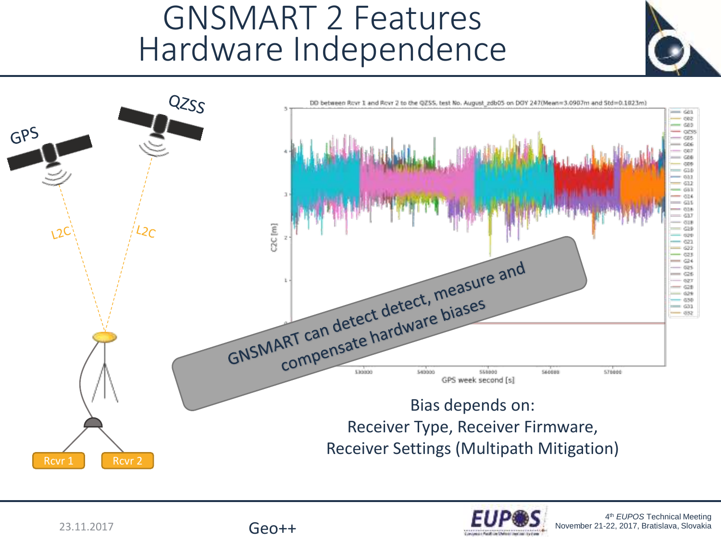### GNSMART 2 Features Hardware Independence



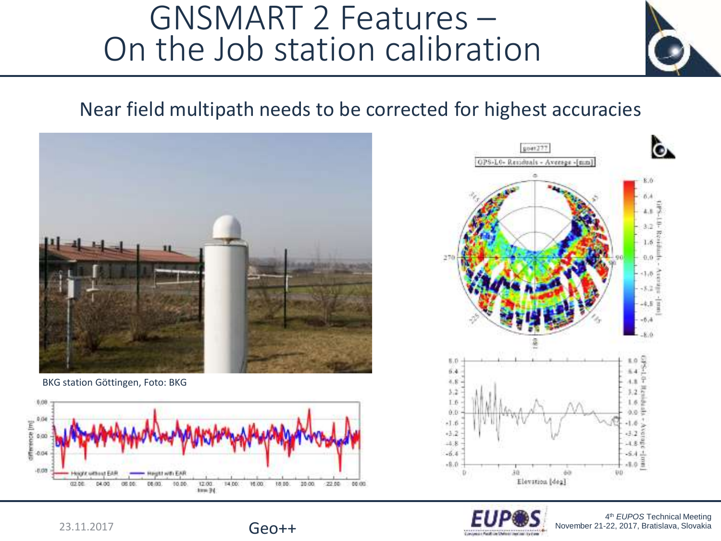### GNSMART 2 Features – On the Job station calibration

#### Near field multipath needs to be corrected for highest accuracies



BKG station Göttingen, Foto: BKG





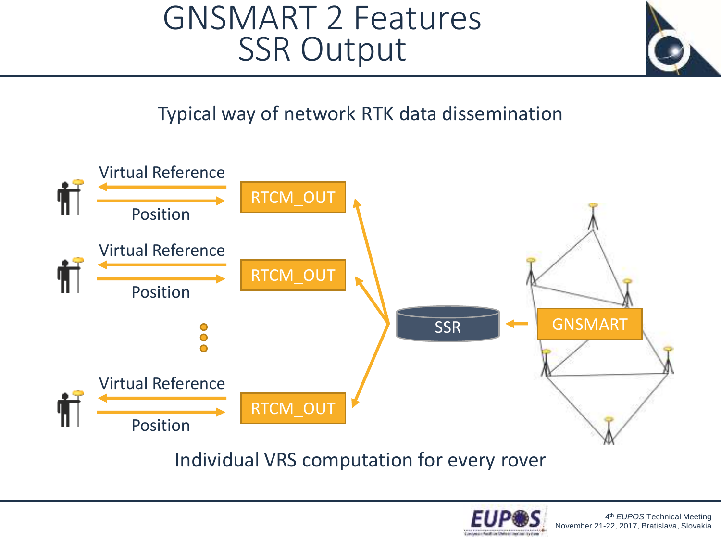### GNSMART 2 Features SSR Output



Typical way of network RTK data dissemination



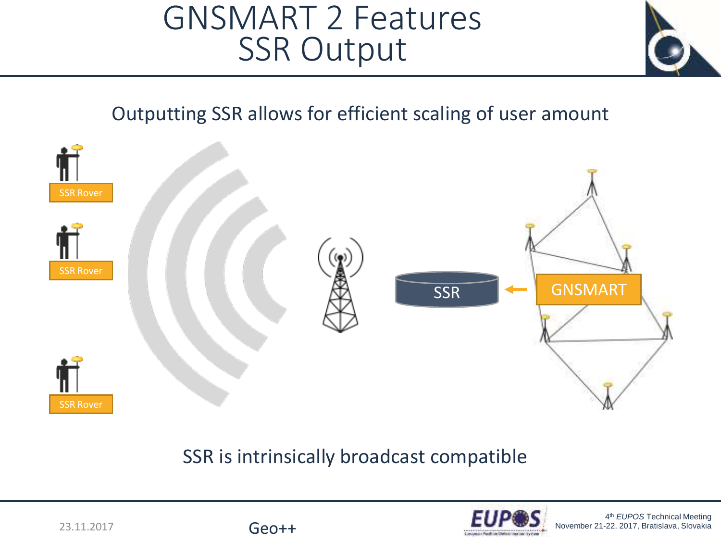### GNSMART 2 Features SSR Output



#### Outputting SSR allows for efficient scaling of user amount



#### SSR is intrinsically broadcast compatible

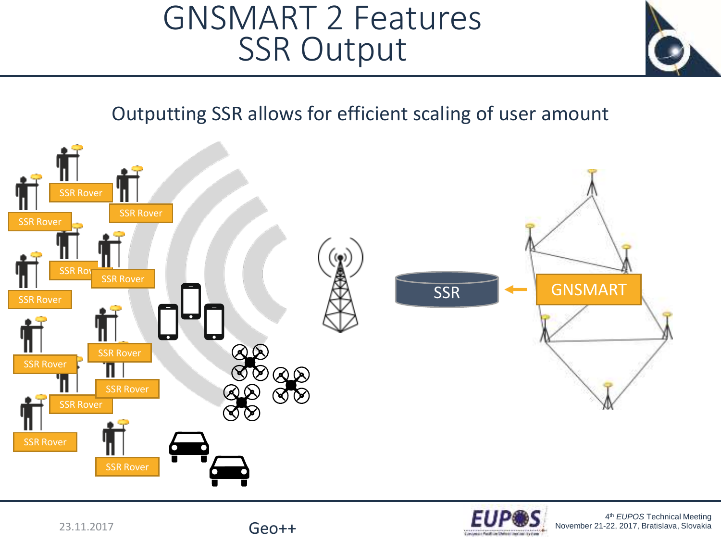### GNSMART 2 Features SSR Output



Outputting SSR allows for efficient scaling of user amount



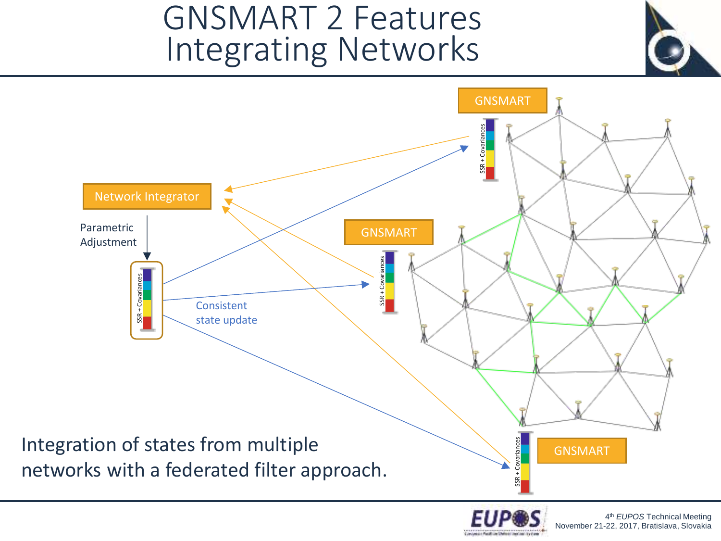### GNSMART 2 Features Integrating Networks



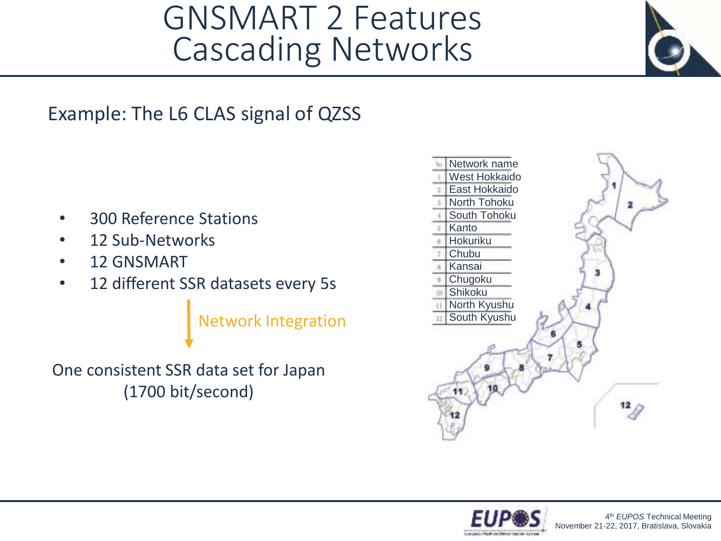### GNSMART 2 Features Cascading Networks



- 300 Reference Stations
- 12 Sub-Networks
- 12 GNSMART
- 12 different SSR datasets every 5s

Network Integration

One consistent SSR data set for Japan (1700 bit/second)





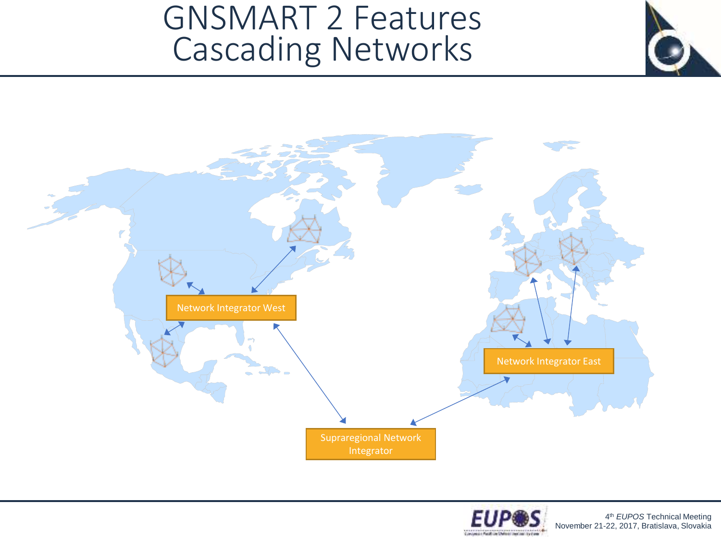### GNSMART 2 Features Cascading Networks